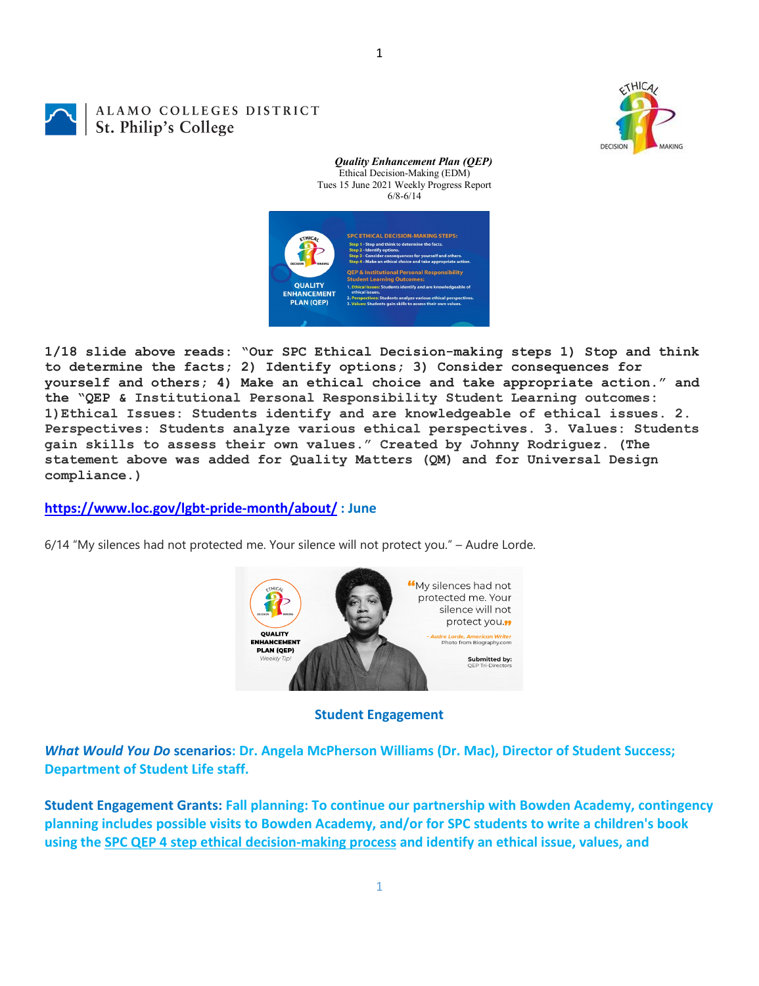CTHICA DECISION

#### 1

# ALAMO COLLEGES DISTRICT St. Philip's College



*Quality Enhancement Plan (QEP)*

**1/18 slide above reads: "Our SPC Ethical Decision-making steps 1) Stop and think to determine the facts; 2) Identify options; 3) Consider consequences for yourself and others; 4) Make an ethical choice and take appropriate action." and the "QEP & Institutional Personal Responsibility Student Learning outcomes: 1)Ethical Issues: Students identify and are knowledgeable of ethical issues. 2. Perspectives: Students analyze various ethical perspectives. 3. Values: Students gain skills to assess their own values." Created by Johnny Rodriguez. (The statement above was added for Quality Matters (QM) and for Universal Design compliance.)**

**<https://www.loc.gov/lgbt-pride-month/about/> : June**

6/14 "My silences had not protected me. Your silence will not protect you." – Audre Lorde.



#### **Student Engagement**

*What Would You Do* **scenarios: Dr. Angela McPherson Williams (Dr. Mac), Director of Student Success; Department of Student Life staff.**

**Student Engagement Grants: Fall planning: To continue our partnership with Bowden Academy, contingency planning includes possible visits to Bowden Academy, and/or for SPC students to write a children's book using the [SPC QEP 4 step ethical decision-making process](https://mail.alamo.edu/owa/redir.aspx?REF=QPGGgOE-3HbbrbCAzqBFQWbtY3e2Gc0f0qSFld99-4hqZWSPr8DYCAFodHRwczovL3d3dy5hbGFtby5lZHUvbGluay8zYjg5NjQxMTY3MGY0YTZlYjU2MzNkNGFmNjE1OTBjNC5hc3B4) and identify an ethical issue, values, and**